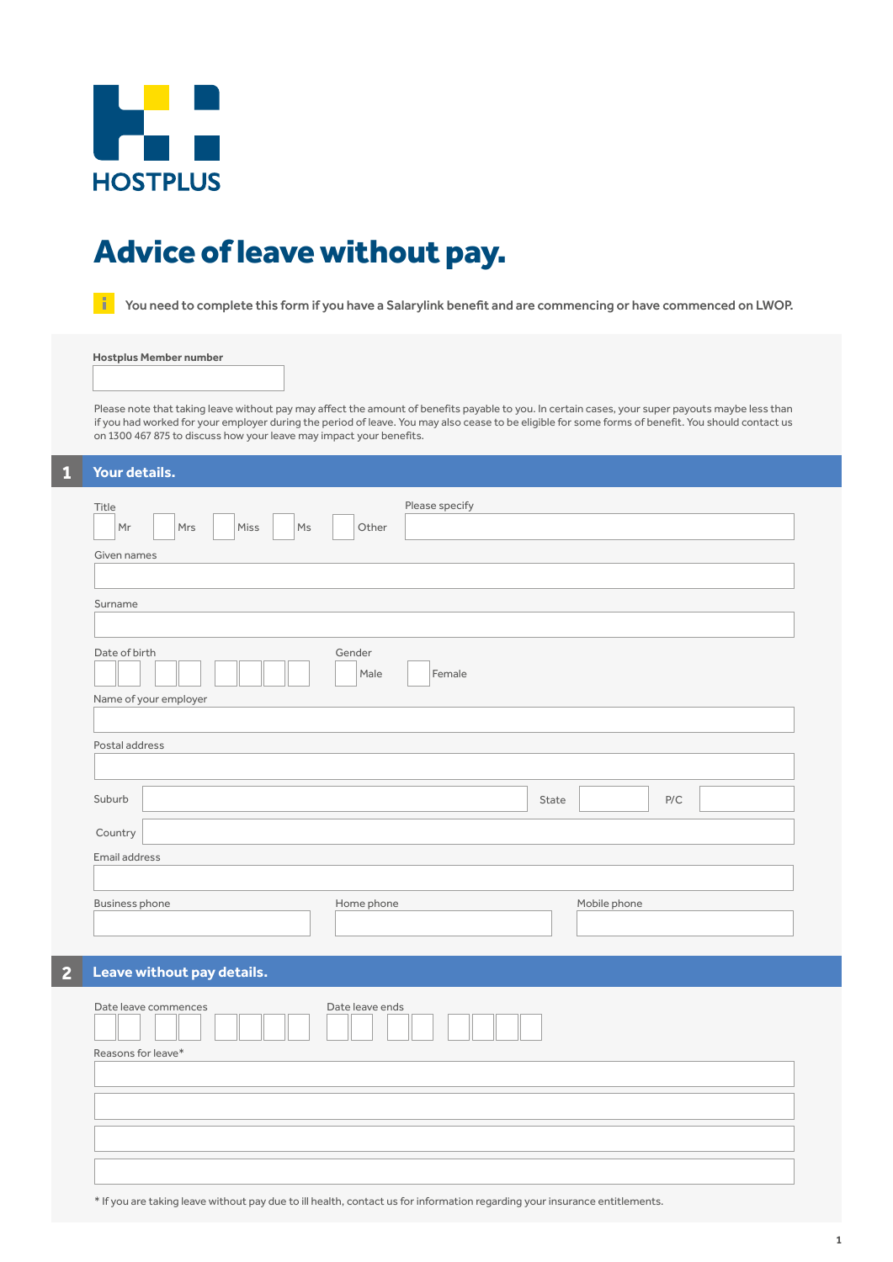

# Advice of leave without pay.

**T** You need to complete this form if you have a Salarylink benefit and are commencing or have commenced on LWOP.

**Hostplus Member number**

Please note that taking leave without pay may affect the amount of benefits payable to you. In certain cases, your super payouts maybe less than if you had worked for your employer during the period of leave. You may also cease to be eligible for some forms of benefit. You should contact us on 1300 467 875 to discuss how your leave may impact your benefits.

| Й | Your details. |  |
|---|---------------|--|
|   |               |  |

| Title<br>Mr<br>Mrs                     | M <sub>S</sub><br>Miss | Other           | Please specify |       |              |                         |  |
|----------------------------------------|------------------------|-----------------|----------------|-------|--------------|-------------------------|--|
| Given names                            |                        |                 |                |       |              |                         |  |
| Surname                                |                        |                 |                |       |              |                         |  |
| Date of birth<br>Name of your employer |                        | Gender<br>Male  | Female         |       |              |                         |  |
|                                        |                        |                 |                |       |              |                         |  |
| Postal address                         |                        |                 |                |       |              |                         |  |
| Suburb                                 |                        |                 |                | State |              | $\mathsf{P}/\mathsf{C}$ |  |
| Country                                |                        |                 |                |       |              |                         |  |
| Email address                          |                        |                 |                |       |              |                         |  |
| <b>Business phone</b>                  |                        | Home phone      |                |       | Mobile phone |                         |  |
| Leave without pay details.             |                        |                 |                |       |              |                         |  |
| Date leave commences                   |                        | Date leave ends |                |       |              |                         |  |
| Reasons for leave*                     |                        |                 |                |       |              |                         |  |
|                                        |                        |                 |                |       |              |                         |  |
|                                        |                        |                 |                |       |              |                         |  |

\* If you are taking leave without pay due to ill health, contact us for information regarding your insurance entitlements.